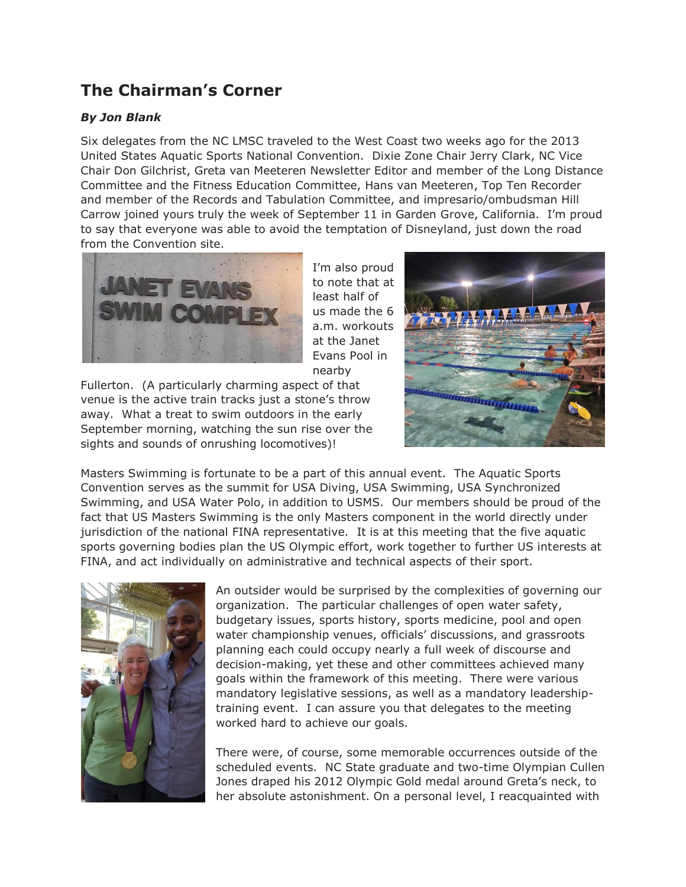## **The Chairman's Corner**

## *By Jon Blank*

Six delegates from the NC LMSC traveled to the West Coast two weeks ago for the 2013 United States Aquatic Sports National Convention. Dixie Zone Chair Jerry Clark, NC Vice Chair Don Gilchrist, Greta van Meeteren Newsletter Editor and member of the Long Distance Committee and the Fitness Education Committee, Hans van Meeteren, Top Ten Recorder and member of the Records and Tabulation Committee, and impresario/ombudsman Hill Carrow joined yours truly the week of September 11 in Garden Grove, California. I'm proud to say that everyone was able to avoid the temptation of Disneyland, just down the road from the Convention site.



I'm also proud to note that at least half of us made the 6 a.m. workouts at the Janet Evans Pool in nearby

Fullerton. (A particularly charming aspect of that venue is the active train tracks just a stone's throw away. What a treat to swim outdoors in the early September morning, watching the sun rise over the sights and sounds of onrushing locomotives)!



Masters Swimming is fortunate to be a part of this annual event. The Aquatic Sports Convention serves as the summit for USA Diving, USA Swimming, USA Synchronized Swimming, and USA Water Polo, in addition to USMS. Our members should be proud of the fact that US Masters Swimming is the only Masters component in the world directly under jurisdiction of the national FINA representative. It is at this meeting that the five aquatic sports governing bodies plan the US Olympic effort, work together to further US interests at FINA, and act individually on administrative and technical aspects of their sport.



An outsider would be surprised by the complexities of governing our organization. The particular challenges of open water safety, budgetary issues, sports history, sports medicine, pool and open water championship venues, officials' discussions, and grassroots planning each could occupy nearly a full week of discourse and decision-making, yet these and other committees achieved many goals within the framework of this meeting. There were various mandatory legislative sessions, as well as a mandatory leadershiptraining event. I can assure you that delegates to the meeting worked hard to achieve our goals.

There were, of course, some memorable occurrences outside of the scheduled events. NC State graduate and two-time Olympian Cullen Jones draped his 2012 Olympic Gold medal around Greta's neck, to her absolute astonishment. On a personal level, I reacquainted with